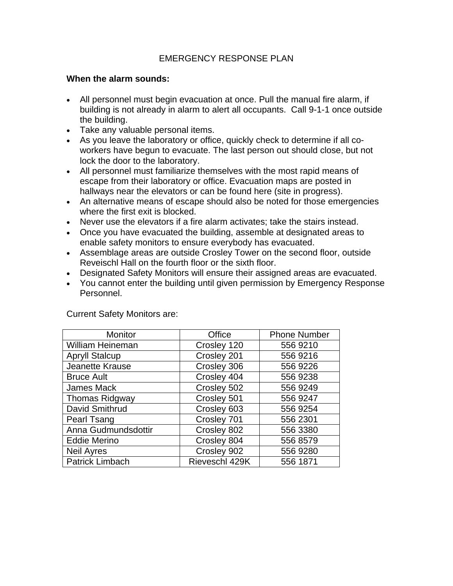#### EMERGENCY RESPONSE PLAN

#### **When the alarm sounds:**

- All personnel must begin evacuation at once. Pull the manual fire alarm, if building is not already in alarm to alert all occupants. Call 9-1-1 once outside the building.
- Take any valuable personal items.
- As you leave the laboratory or office, quickly check to determine if all coworkers have begun to evacuate. The last person out should close, but not lock the door to the laboratory.
- All personnel must familiarize themselves with the most rapid means of escape from their laboratory or office. Evacuation maps are posted in hallways near the elevators or can be found here (site in progress).
- An alternative means of escape should also be noted for those emergencies where the first exit is blocked.
- Never use the elevators if a fire alarm activates; take the stairs instead.
- Once you have evacuated the building, assemble at designated areas to enable safety monitors to ensure everybody has evacuated.
- Assemblage areas are outside Crosley Tower on the second floor, outside Reveischl Hall on the fourth floor or the sixth floor.
- Designated Safety Monitors will ensure their assigned areas are evacuated.
- You cannot enter the building until given permission by Emergency Response Personnel.

| Monitor                 | Office         | <b>Phone Number</b> |
|-------------------------|----------------|---------------------|
| <b>William Heineman</b> | Crosley 120    | 556 9210            |
| <b>Apryll Stalcup</b>   | Crosley 201    | 556 9216            |
| Jeanette Krause         | Crosley 306    | 556 9226            |
| <b>Bruce Ault</b>       | Crosley 404    | 556 9238            |
| James Mack              | Crosley 502    | 556 9249            |
| <b>Thomas Ridgway</b>   | Crosley 501    | 556 9247            |
| David Smithrud          | Crosley 603    | 556 9254            |
| Pearl Tsang             | Crosley 701    | 556 2301            |
| Anna Gudmundsdottir     | Crosley 802    | 556 3380            |
| <b>Eddie Merino</b>     | Crosley 804    | 556 8579            |
| <b>Neil Ayres</b>       | Crosley 902    | 556 9280            |
| <b>Patrick Limbach</b>  | Rieveschl 429K | 556 1871            |

Current Safety Monitors are: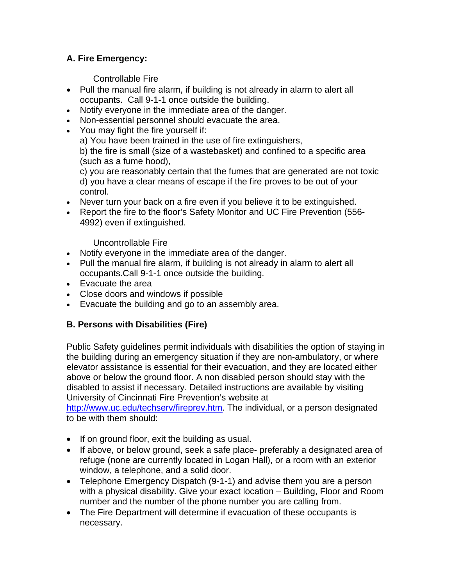# **A. Fire Emergency:**

Controllable Fire

- Pull the manual fire alarm, if building is not already in alarm to alert all occupants. Call 9-1-1 once outside the building.
- Notify everyone in the immediate area of the danger.
- Non-essential personnel should evacuate the area.
- You may fight the fire yourself if:

a) You have been trained in the use of fire extinguishers,

b) the fire is small (size of a wastebasket) and confined to a specific area (such as a fume hood),

c) you are reasonably certain that the fumes that are generated are not toxic d) you have a clear means of escape if the fire proves to be out of your control.

- Never turn your back on a fire even if you believe it to be extinguished.
- Report the fire to the floor's Safety Monitor and UC Fire Prevention (556- 4992) even if extinguished.

Uncontrollable Fire

- Notify everyone in the immediate area of the danger.
- Pull the manual fire alarm, if building is not already in alarm to alert all occupants.Call 9-1-1 once outside the building.
- Evacuate the area
- Close doors and windows if possible
- Evacuate the building and go to an assembly area.

# **B. Persons with Disabilities (Fire)**

Public Safety guidelines permit individuals with disabilities the option of staying in the building during an emergency situation if they are non-ambulatory, or where elevator assistance is essential for their evacuation, and they are located either above or below the ground floor. A non disabled person should stay with the disabled to assist if necessary. Detailed instructions are available by visiting University of Cincinnati Fire Prevention's website at

[http://www.uc.edu/techserv/fireprev.htm.](http://www.uc.edu/techserv/fireprev.htm) The individual, or a person designated to be with them should:

- If on ground floor, exit the building as usual.
- If above, or below ground, seek a safe place- preferably a designated area of refuge (none are currently located in Logan Hall), or a room with an exterior window, a telephone, and a solid door.
- Telephone Emergency Dispatch (9-1-1) and advise them you are a person with a physical disability. Give your exact location – Building, Floor and Room number and the number of the phone number you are calling from.
- The Fire Department will determine if evacuation of these occupants is necessary.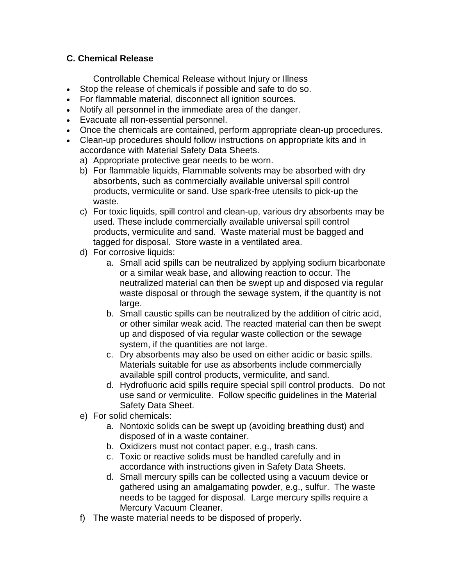### **C. Chemical Release**

Controllable Chemical Release without Injury or Illness

- Stop the release of chemicals if possible and safe to do so.
- For flammable material, disconnect all ignition sources.
- Notify all personnel in the immediate area of the danger.
- Evacuate all non-essential personnel.
- Once the chemicals are contained, perform appropriate clean-up procedures.
- Clean-up procedures should follow instructions on appropriate kits and in accordance with Material Safety Data Sheets.
	- a) Appropriate protective gear needs to be worn.
	- b) For flammable liquids, Flammable solvents may be absorbed with dry absorbents, such as commercially available universal spill control products, vermiculite or sand. Use spark-free utensils to pick-up the waste.
	- c) For toxic liquids, spill control and clean-up, various dry absorbents may be used. These include commercially available universal spill control products, vermiculite and sand. Waste material must be bagged and tagged for disposal. Store waste in a ventilated area.
	- d) For corrosive liquids:
		- a. Small acid spills can be neutralized by applying sodium bicarbonate or a similar weak base, and allowing reaction to occur. The neutralized material can then be swept up and disposed via regular waste disposal or through the sewage system, if the quantity is not large.
		- b. Small caustic spills can be neutralized by the addition of citric acid, or other similar weak acid. The reacted material can then be swept up and disposed of via regular waste collection or the sewage system, if the quantities are not large.
		- c. Dry absorbents may also be used on either acidic or basic spills. Materials suitable for use as absorbents include commercially available spill control products, vermiculite, and sand.
		- d. Hydrofluoric acid spills require special spill control products. Do not use sand or vermiculite. Follow specific guidelines in the Material Safety Data Sheet.
	- e) For solid chemicals:
		- a. Nontoxic solids can be swept up (avoiding breathing dust) and disposed of in a waste container.
		- b. Oxidizers must not contact paper, e.g., trash cans.
		- c. Toxic or reactive solids must be handled carefully and in accordance with instructions given in Safety Data Sheets.
		- d. Small mercury spills can be collected using a vacuum device or gathered using an amalgamating powder, e.g., sulfur. The waste needs to be tagged for disposal. Large mercury spills require a Mercury Vacuum Cleaner.
	- f) The waste material needs to be disposed of properly.